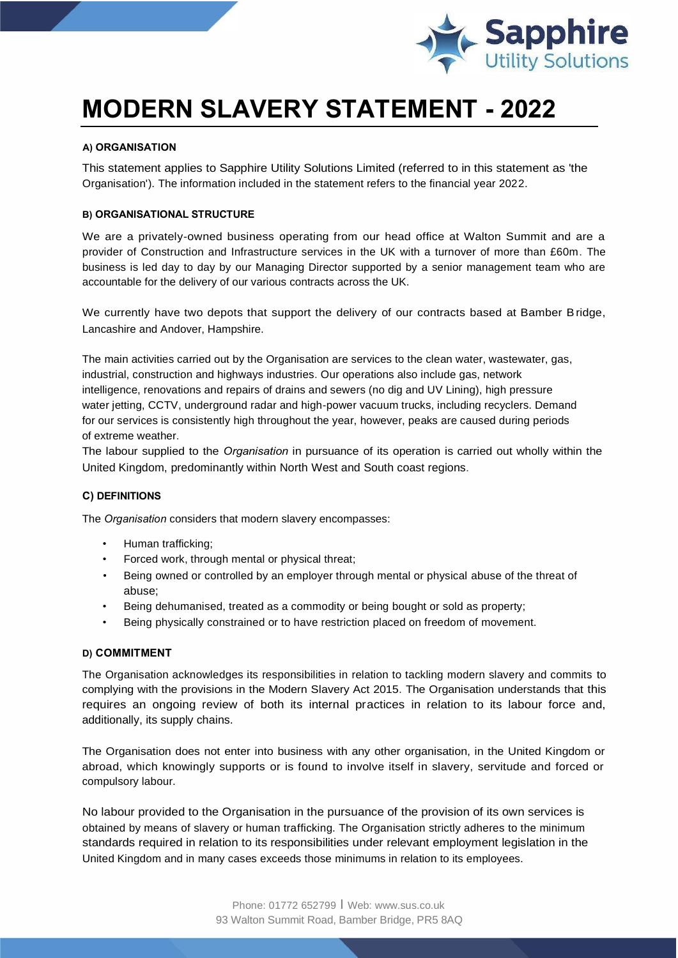

# **MODERN SLAVERY STATEMENT - 2022**

## **A) ORGANISATION**

This statement applies to Sapphire Utility Solutions Limited (referred to in this statement as 'the Organisation'). The information included in the statement refers to the financial year 2022.

## **B) ORGANISATIONAL STRUCTURE**

We are a privately-owned business operating from our head office at Walton Summit and are a provider of Construction and Infrastructure services in the UK with a turnover of more than £60m. The business is led day to day by our Managing Director supported by a senior management team who are accountable for the delivery of our various contracts across the UK.

We currently have two depots that support the delivery of our contracts based at Bamber Bridge, Lancashire and Andover, Hampshire.

The main activities carried out by the Organisation are services to the clean water, wastewater, gas, industrial, construction and highways industries. Our operations also include gas, network intelligence, renovations and repairs of drains and sewers (no dig and UV Lining), high pressure water jetting, CCTV, underground radar and high-power vacuum trucks, including recyclers. Demand for our services is consistently high throughout the year, however, peaks are caused during periods of extreme weather.

The labour supplied to the *Organisation* in pursuance of its operation is carried out wholly within the United Kingdom, predominantly within North West and South coast regions.

## **C) DEFINITIONS**

The *Organisation* considers that modern slavery encompasses:

- Human trafficking;
- Forced work, through mental or physical threat;
- Being owned or controlled by an employer through mental or physical abuse of the threat of abuse;
- Being dehumanised, treated as a commodity or being bought or sold as property;
- Being physically constrained or to have restriction placed on freedom of movement.

#### **D) COMMITMENT**

The Organisation acknowledges its responsibilities in relation to tackling modern slavery and commits to complying with the provisions in the Modern Slavery Act 2015. The Organisation understands that this requires an ongoing review of both its internal practices in relation to its labour force and, additionally, its supply chains.

The Organisation does not enter into business with any other organisation, in the United Kingdom or abroad, which knowingly supports or is found to involve itself in slavery, servitude and forced or compulsory labour.

No labour provided to the Organisation in the pursuance of the provision of its own services is obtained by means of slavery or human trafficking. The Organisation strictly adheres to the minimum standards required in relation to its responsibilities under relevant employment legislation in the United Kingdom and in many cases exceeds those minimums in relation to its employees.